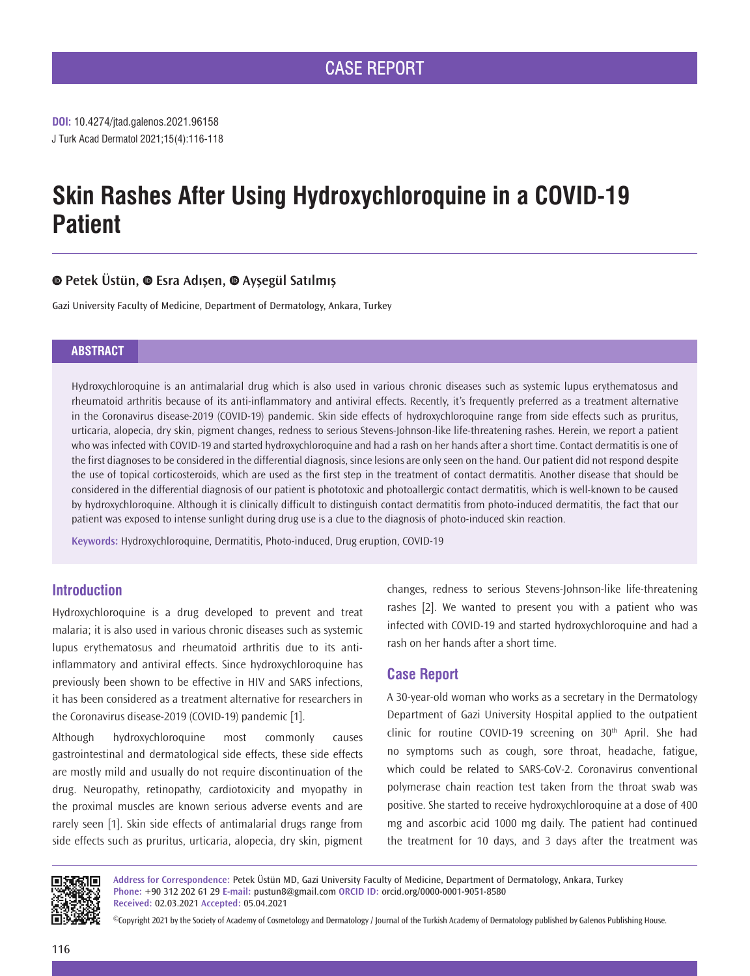**DOI:** 10.4274/jtad.galenos.2021.96158 J Turk Acad Dermatol 2021;15(4):116-118

# **Skin Rashes After Using Hydroxychloroquine in a COVID-19 Patient**

# **Petek Üstün,Esra Adışen,Ayşegül Satılmış**

Gazi University Faculty of Medicine, Department of Dermatology, Ankara, Turkey

#### **ABSTRACT**

Hydroxychloroquine is an antimalarial drug which is also used in various chronic diseases such as systemic lupus erythematosus and rheumatoid arthritis because of its anti-inflammatory and antiviral effects. Recently, it's frequently preferred as a treatment alternative in the Coronavirus disease-2019 (COVID-19) pandemic. Skin side effects of hydroxychloroquine range from side effects such as pruritus, urticaria, alopecia, dry skin, pigment changes, redness to serious Stevens-Johnson-like life-threatening rashes. Herein, we report a patient who was infected with COVID-19 and started hydroxychloroquine and had a rash on her hands after a short time. Contact dermatitis is one of the first diagnoses to be considered in the differential diagnosis, since lesions are only seen on the hand. Our patient did not respond despite the use of topical corticosteroids, which are used as the first step in the treatment of contact dermatitis. Another disease that should be considered in the differential diagnosis of our patient is phototoxic and photoallergic contact dermatitis, which is well-known to be caused by hydroxychloroquine. Although it is clinically difficult to distinguish contact dermatitis from photo-induced dermatitis, the fact that our patient was exposed to intense sunlight during drug use is a clue to the diagnosis of photo-induced skin reaction.

**Keywords:** Hydroxychloroquine, Dermatitis, Photo-induced, Drug eruption, COVID-19

# **Introduction**

Hydroxychloroquine is a drug developed to prevent and treat malaria; it is also used in various chronic diseases such as systemic lupus erythematosus and rheumatoid arthritis due to its antiinflammatory and antiviral effects. Since hydroxychloroquine has previously been shown to be effective in HIV and SARS infections, it has been considered as a treatment alternative for researchers in the Coronavirus disease-2019 (COVID-19) pandemic [1].

Although hydroxychloroquine most commonly causes gastrointestinal and dermatological side effects, these side effects are mostly mild and usually do not require discontinuation of the drug. Neuropathy, retinopathy, cardiotoxicity and myopathy in the proximal muscles are known serious adverse events and are rarely seen [1]. Skin side effects of antimalarial drugs range from side effects such as pruritus, urticaria, alopecia, dry skin, pigment changes, redness to serious Stevens-Johnson-like life-threatening rashes [2]. We wanted to present you with a patient who was infected with COVID-19 and started hydroxychloroquine and had a rash on her hands after a short time.

### **Case Report**

A 30-year-old woman who works as a secretary in the Dermatology Department of Gazi University Hospital applied to the outpatient clinic for routine COVID-19 screening on 30<sup>th</sup> April. She had no symptoms such as cough, sore throat, headache, fatigue, which could be related to SARS-CoV-2. Coronavirus conventional polymerase chain reaction test taken from the throat swab was positive. She started to receive hydroxychloroquine at a dose of 400 mg and ascorbic acid 1000 mg daily. The patient had continued the treatment for 10 days, and 3 days after the treatment was



**Address for Correspondence:** Petek Üstün MD, Gazi University Faculty of Medicine, Department of Dermatology, Ankara, Turkey **Phone:** +90 312 202 61 29 **E-mail:** pustun8@gmail.com **ORCID ID:** orcid.org/0000-0001-9051-8580 **Received:** 02.03.2021 **Accepted:** 05.04.2021

©Copyright 2021 by the Society of Academy of Cosmetology and Dermatology / Journal of the Turkish Academy of Dermatology published by Galenos Publishing House.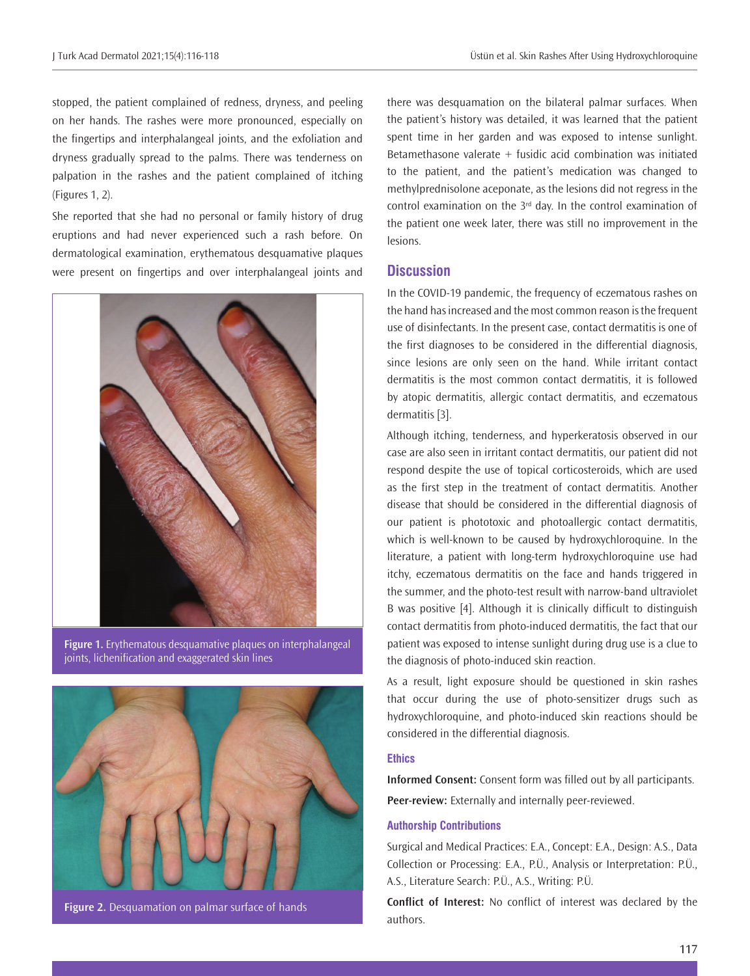stopped, the patient complained of redness, dryness, and peeling on her hands. The rashes were more pronounced, especially on the fingertips and interphalangeal joints, and the exfoliation and dryness gradually spread to the palms. There was tenderness on palpation in the rashes and the patient complained of itching (Figures 1, 2).

She reported that she had no personal or family history of drug eruptions and had never experienced such a rash before. On dermatological examination, erythematous desquamative plaques were present on fingertips and over interphalangeal joints and



**Figure 1.** Erythematous desquamative plaques on interphalangeal joints, lichenification and exaggerated skin lines



**Figure 2.** Desquamation on palmar surface of hands

there was desquamation on the bilateral palmar surfaces. When the patient's history was detailed, it was learned that the patient spent time in her garden and was exposed to intense sunlight. Betamethasone valerate  $+$  fusidic acid combination was initiated to the patient, and the patient's medication was changed to methylprednisolone aceponate, as the lesions did not regress in the control examination on the  $3<sup>rd</sup>$  day. In the control examination of the patient one week later, there was still no improvement in the lesions.

## **Discussion**

In the COVID-19 pandemic, the frequency of eczematous rashes on the hand has increased and the most common reason is the frequent use of disinfectants. In the present case, contact dermatitis is one of the first diagnoses to be considered in the differential diagnosis, since lesions are only seen on the hand. While irritant contact dermatitis is the most common contact dermatitis, it is followed by atopic dermatitis, allergic contact dermatitis, and eczematous dermatitis [3].

Although itching, tenderness, and hyperkeratosis observed in our case are also seen in irritant contact dermatitis, our patient did not respond despite the use of topical corticosteroids, which are used as the first step in the treatment of contact dermatitis. Another disease that should be considered in the differential diagnosis of our patient is phototoxic and photoallergic contact dermatitis, which is well-known to be caused by hydroxychloroquine. In the literature, a patient with long-term hydroxychloroquine use had itchy, eczematous dermatitis on the face and hands triggered in the summer, and the photo-test result with narrow-band ultraviolet B was positive [4]. Although it is clinically difficult to distinguish contact dermatitis from photo-induced dermatitis, the fact that our patient was exposed to intense sunlight during drug use is a clue to the diagnosis of photo-induced skin reaction.

As a result, light exposure should be questioned in skin rashes that occur during the use of photo-sensitizer drugs such as hydroxychloroquine, and photo-induced skin reactions should be considered in the differential diagnosis.

#### **Ethics**

**Informed Consent:** Consent form was filled out by all participants. **Peer-review:** Externally and internally peer-reviewed.

#### **Authorship Contributions**

Surgical and Medical Practices: E.A., Concept: E.A., Design: A.S., Data Collection or Processing: E.A., P.Ü., Analysis or Interpretation: P.Ü., A.S., Literature Search: P.Ü., A.S., Writing: P.Ü.

**Conflict of Interest:** No conflict of interest was declared by the authors.